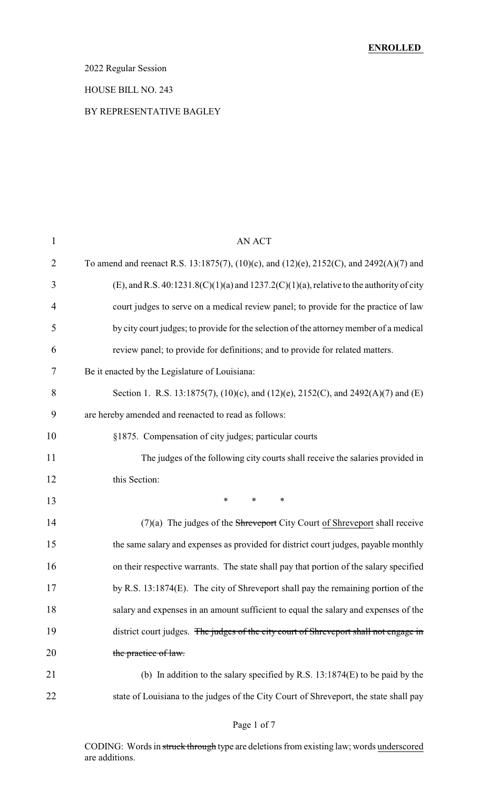### 2022 Regular Session

#### HOUSE BILL NO. 243

#### BY REPRESENTATIVE BAGLEY

| $\mathbf{1}$   | <b>AN ACT</b>                                                                                |
|----------------|----------------------------------------------------------------------------------------------|
| $\overline{2}$ | To amend and reenact R.S. 13:1875(7), (10)(c), and (12)(e), 2152(C), and 2492(A)(7) and      |
| 3              | (E), and R.S. $40:1231.8(C)(1)(a)$ and $1237.2(C)(1)(a)$ , relative to the authority of city |
| 4              | court judges to serve on a medical review panel; to provide for the practice of law          |
| 5              | by city court judges; to provide for the selection of the attorney member of a medical       |
| 6              | review panel; to provide for definitions; and to provide for related matters.                |
| 7              | Be it enacted by the Legislature of Louisiana:                                               |
| 8              | Section 1. R.S. 13:1875(7), (10)(c), and (12)(e), 2152(C), and 2492(A)(7) and (E)            |
| 9              | are hereby amended and reenacted to read as follows:                                         |
| 10             | §1875. Compensation of city judges; particular courts                                        |
| 11             | The judges of the following city courts shall receive the salaries provided in               |
| 12             | this Section:                                                                                |
| 13             | $\ast$<br>$\ast$<br>$\ast$                                                                   |
| 14             | $(7)(a)$ The judges of the Shreveport City Court of Shreveport shall receive                 |
| 15             | the same salary and expenses as provided for district court judges, payable monthly          |
| 16             | on their respective warrants. The state shall pay that portion of the salary specified       |
| 17             | by R.S. 13:1874(E). The city of Shreveport shall pay the remaining portion of the            |
| 18             | salary and expenses in an amount sufficient to equal the salary and expenses of the          |
| 19             | district court judges. The judges of the city court of Shreveport shall not engage in        |
| 20             | the practice of law.                                                                         |
| 21             | (b) In addition to the salary specified by R.S. $13:1874(E)$ to be paid by the               |
| 22             | state of Louisiana to the judges of the City Court of Shreveport, the state shall pay        |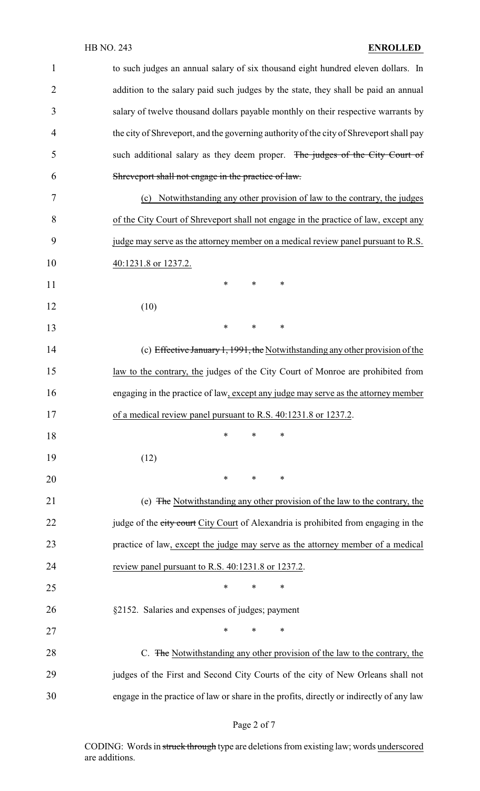| 1              | to such judges an annual salary of six thousand eight hundred eleven dollars. In         |
|----------------|------------------------------------------------------------------------------------------|
| $\overline{2}$ | addition to the salary paid such judges by the state, they shall be paid an annual       |
| 3              | salary of twelve thousand dollars payable monthly on their respective warrants by        |
| 4              | the city of Shreveport, and the governing authority of the city of Shreveport shall pay  |
| 5              | such additional salary as they deem proper. The judges of the City Court of              |
| 6              | Shreveport shall not engage in the practice of law.                                      |
| 7              | Notwithstanding any other provision of law to the contrary, the judges<br>(c)            |
| 8              | of the City Court of Shreveport shall not engage in the practice of law, except any      |
| 9              | judge may serve as the attorney member on a medical review panel pursuant to R.S.        |
| 10             | 40:1231.8 or 1237.2.                                                                     |
| 11             | $\ast$<br>∗<br>∗                                                                         |
| 12             | (10)                                                                                     |
| 13             | $\ast$<br>*<br>∗                                                                         |
| 14             | (c) Effective January 1, 1991, the Notwithstanding any other provision of the            |
| 15             | law to the contrary, the judges of the City Court of Monroe are prohibited from          |
| 16             | engaging in the practice of law, except any judge may serve as the attorney member       |
| 17             | of a medical review panel pursuant to R.S. 40:1231.8 or 1237.2.                          |
| 18             | ∗<br>∗<br>∗                                                                              |
| 19             | (12)                                                                                     |
| 20             | $\ast$<br>$\ast$<br>$\ast$                                                               |
| 21             | (e) The Notwithstanding any other provision of the law to the contrary, the              |
| 22             | judge of the city court City Court of Alexandria is prohibited from engaging in the      |
| 23             | practice of law, except the judge may serve as the attorney member of a medical          |
| 24             | review panel pursuant to R.S. 40:1231.8 or 1237.2.                                       |
| 25             | $\ast$<br>$\ast$<br>∗                                                                    |
| 26             | §2152. Salaries and expenses of judges; payment                                          |
| 27             | $\ast$<br>$\ast$<br>∗                                                                    |
| 28             | C. The Notwithstanding any other provision of the law to the contrary, the               |
| 29             | judges of the First and Second City Courts of the city of New Orleans shall not          |
| 30             | engage in the practice of law or share in the profits, directly or indirectly of any law |

# Page 2 of 7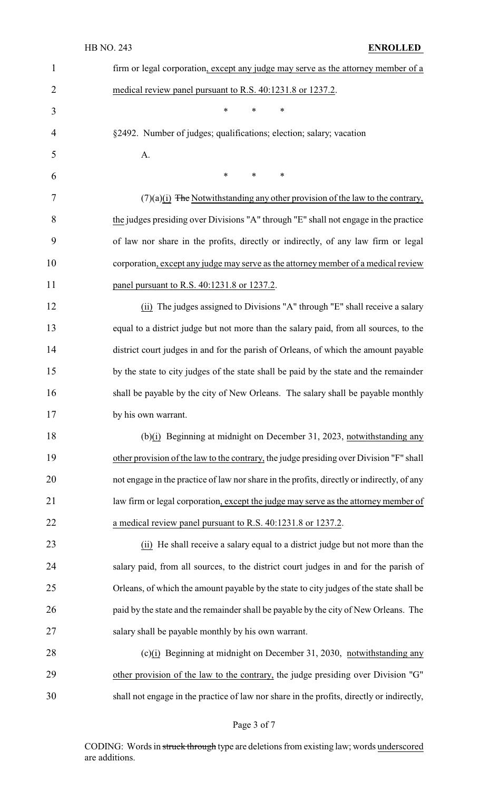| $\mathbf{1}$   | firm or legal corporation, except any judge may serve as the attorney member of a          |
|----------------|--------------------------------------------------------------------------------------------|
| $\overline{2}$ | medical review panel pursuant to R.S. 40:1231.8 or 1237.2.                                 |
| 3              | *<br>$\ast$<br>$\ast$                                                                      |
| 4              | §2492. Number of judges; qualifications; election; salary; vacation                        |
| 5              | A.                                                                                         |
| 6              | $\ast$<br>$\ast$<br>$\ast$                                                                 |
| 7              | $(7)(a)(i)$ The Notwithstanding any other provision of the law to the contrary,            |
| 8              | the judges presiding over Divisions "A" through "E" shall not engage in the practice       |
| 9              | of law nor share in the profits, directly or indirectly, of any law firm or legal          |
| 10             | corporation, except any judge may serve as the attorney member of a medical review         |
| 11             | panel pursuant to R.S. 40:1231.8 or 1237.2.                                                |
| 12             | (ii) The judges assigned to Divisions "A" through "E" shall receive a salary               |
| 13             | equal to a district judge but not more than the salary paid, from all sources, to the      |
| 14             | district court judges in and for the parish of Orleans, of which the amount payable        |
| 15             | by the state to city judges of the state shall be paid by the state and the remainder      |
| 16             | shall be payable by the city of New Orleans. The salary shall be payable monthly           |
| 17             | by his own warrant.                                                                        |
| 18             | (b)(i) Beginning at midnight on December 31, 2023, notwithstanding any                     |
| 19             | other provision of the law to the contrary, the judge presiding over Division "F" shall    |
| 20             | not engage in the practice of law nor share in the profits, directly or indirectly, of any |
| 21             | law firm or legal corporation, except the judge may serve as the attorney member of        |
| 22             | a medical review panel pursuant to R.S. 40:1231.8 or 1237.2.                               |
| 23             | (ii) He shall receive a salary equal to a district judge but not more than the             |
| 24             | salary paid, from all sources, to the district court judges in and for the parish of       |
| 25             | Orleans, of which the amount payable by the state to city judges of the state shall be     |
| 26             | paid by the state and the remainder shall be payable by the city of New Orleans. The       |
| 27             | salary shall be payable monthly by his own warrant.                                        |
| 28             | (c)(i) Beginning at midnight on December 31, 2030, notwithstanding any                     |
| 29             | other provision of the law to the contrary, the judge presiding over Division "G"          |
| 30             | shall not engage in the practice of law nor share in the profits, directly or indirectly,  |

# Page 3 of 7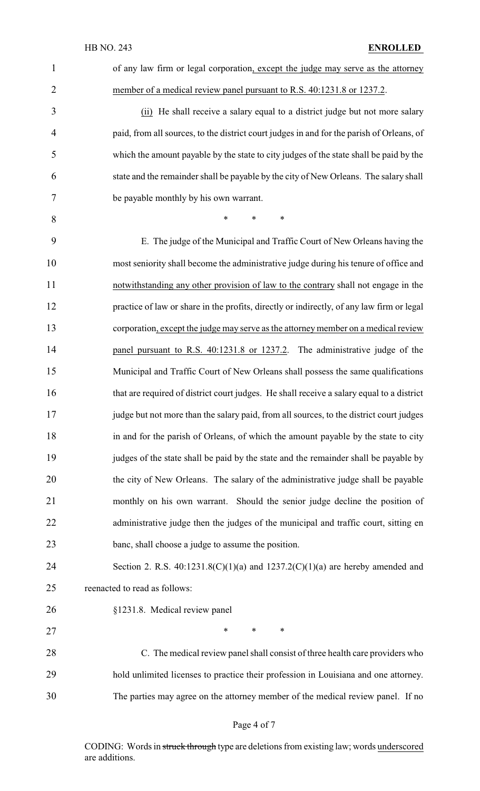| $\mathbf{1}$   | of any law firm or legal corporation, except the judge may serve as the attorney          |
|----------------|-------------------------------------------------------------------------------------------|
| $\overline{2}$ | member of a medical review panel pursuant to R.S. 40:1231.8 or 1237.2.                    |
| 3              | (ii) He shall receive a salary equal to a district judge but not more salary              |
| $\overline{4}$ | paid, from all sources, to the district court judges in and for the parish of Orleans, of |
| 5              | which the amount payable by the state to city judges of the state shall be paid by the    |
| 6              | state and the remainder shall be payable by the city of New Orleans. The salary shall     |
| 7              | be payable monthly by his own warrant.                                                    |
| 8              | $\ast$<br>$\ast$<br>$\ast$                                                                |
| 9              | E. The judge of the Municipal and Traffic Court of New Orleans having the                 |
| 10             | most seniority shall become the administrative judge during his tenure of office and      |
| 11             | notwithstanding any other provision of law to the contrary shall not engage in the        |
| 12             | practice of law or share in the profits, directly or indirectly, of any law firm or legal |
| 13             | corporation, except the judge may serve as the attorney member on a medical review        |
| 14             | panel pursuant to R.S. 40:1231.8 or 1237.2. The administrative judge of the               |
| 15             | Municipal and Traffic Court of New Orleans shall possess the same qualifications          |
| 16             | that are required of district court judges. He shall receive a salary equal to a district |
| 17             | judge but not more than the salary paid, from all sources, to the district court judges   |
| 18             | in and for the parish of Orleans, of which the amount payable by the state to city        |
| 19             | judges of the state shall be paid by the state and the remainder shall be payable by      |
| 20             | the city of New Orleans. The salary of the administrative judge shall be payable          |
| 21             | monthly on his own warrant. Should the senior judge decline the position of               |
| 22             | administrative judge then the judges of the municipal and traffic court, sitting en       |
| 23             | banc, shall choose a judge to assume the position.                                        |
| 24             | Section 2. R.S. $40:1231.8(C)(1)(a)$ and $1237.2(C)(1)(a)$ are hereby amended and         |
| 25             | reenacted to read as follows:                                                             |
| 26             | §1231.8. Medical review panel                                                             |
| 27             | $\ast$<br>$\ast$<br>∗                                                                     |
| 28             | C. The medical review panel shall consist of three health care providers who              |
| 29             | hold unlimited licenses to practice their profession in Louisiana and one attorney.       |
| 30             | The parties may agree on the attorney member of the medical review panel. If no           |

# Page 4 of 7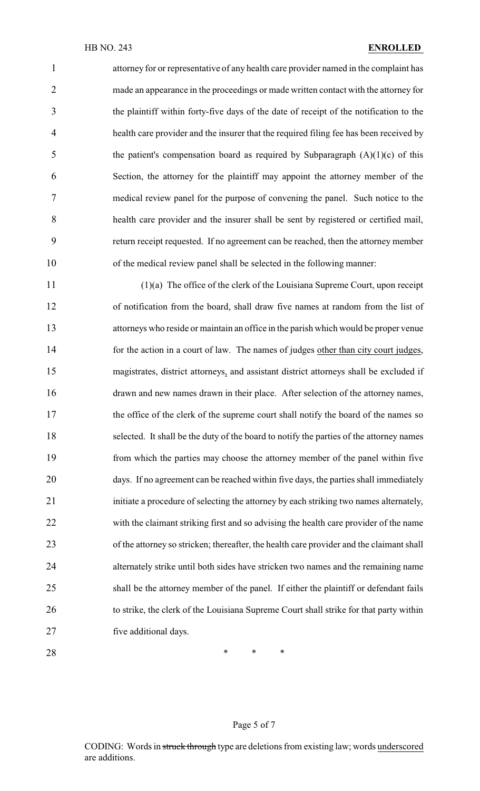attorney for or representative of any health care provider named in the complaint has made an appearance in the proceedings or made written contact with the attorney for the plaintiff within forty-five days of the date of receipt of the notification to the health care provider and the insurer that the required filing fee has been received by 5 the patient's compensation board as required by Subparagraph  $(A)(1)(c)$  of this Section, the attorney for the plaintiff may appoint the attorney member of the medical review panel for the purpose of convening the panel. Such notice to the health care provider and the insurer shall be sent by registered or certified mail, return receipt requested. If no agreement can be reached, then the attorney member of the medical review panel shall be selected in the following manner:

 (1)(a) The office of the clerk of the Louisiana Supreme Court, upon receipt of notification from the board, shall draw five names at random from the list of attorneys who reside or maintain an office in the parish which would be proper venue for the action in a court of law. The names of judges other than city court judges, magistrates, district attorneys, and assistant district attorneys shall be excluded if drawn and new names drawn in their place. After selection of the attorney names, 17 the office of the clerk of the supreme court shall notify the board of the names so selected. It shall be the duty of the board to notify the parties of the attorney names from which the parties may choose the attorney member of the panel within five days. If no agreement can be reached within five days, the parties shall immediately initiate a procedure of selecting the attorney by each striking two names alternately, with the claimant striking first and so advising the health care provider of the name of the attorney so stricken; thereafter, the health care provider and the claimant shall alternately strike until both sides have stricken two names and the remaining name shall be the attorney member of the panel. If either the plaintiff or defendant fails 26 to strike, the clerk of the Louisiana Supreme Court shall strike for that party within five additional days.

**\*** \* \* \*

#### Page 5 of 7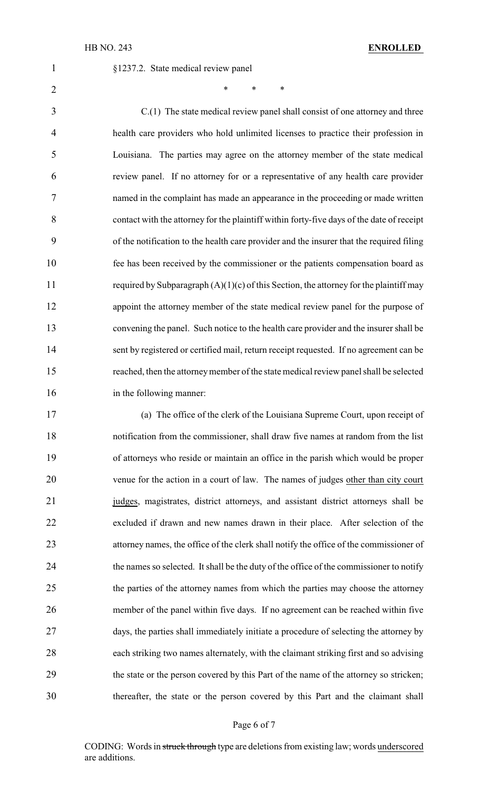§1237.2. State medical review panel

2 \* \* \* \*

 C.(1) The state medical review panel shall consist of one attorney and three health care providers who hold unlimited licenses to practice their profession in Louisiana. The parties may agree on the attorney member of the state medical review panel. If no attorney for or a representative of any health care provider named in the complaint has made an appearance in the proceeding or made written contact with the attorney for the plaintiff within forty-five days of the date of receipt of the notification to the health care provider and the insurer that the required filing fee has been received by the commissioner or the patients compensation board as 11 required by Subparagraph  $(A)(1)(c)$  of this Section, the attorney for the plaintiff may appoint the attorney member of the state medical review panel for the purpose of convening the panel. Such notice to the health care provider and the insurer shall be sent by registered or certified mail, return receipt requested. If no agreement can be reached, then the attorneymember of the state medical review panel shall be selected 16 in the following manner:

 (a) The office of the clerk of the Louisiana Supreme Court, upon receipt of notification from the commissioner, shall draw five names at random from the list of attorneys who reside or maintain an office in the parish which would be proper venue for the action in a court of law. The names of judges other than city court judges, magistrates, district attorneys, and assistant district attorneys shall be excluded if drawn and new names drawn in their place. After selection of the attorney names, the office of the clerk shall notify the office of the commissioner of 24 the names so selected. It shall be the duty of the office of the commissioner to notify the parties of the attorney names from which the parties may choose the attorney member of the panel within five days. If no agreement can be reached within five days, the parties shall immediately initiate a procedure of selecting the attorney by each striking two names alternately, with the claimant striking first and so advising the state or the person covered by this Part of the name of the attorney so stricken; thereafter, the state or the person covered by this Part and the claimant shall

#### Page 6 of 7